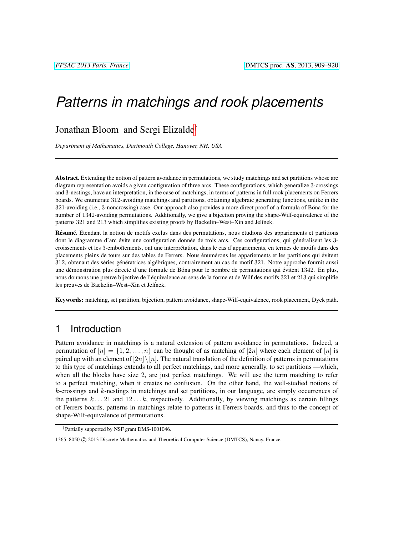# *Patterns in matchings and rook placements*

### Jonathan Bloom and Sergi Elizalde†

*Department of Mathematics, Dartmouth College, Hanover, NH, USA*

Abstract. Extending the notion of pattern avoidance in permutations, we study matchings and set partitions whose arc diagram representation avoids a given configuration of three arcs. These configurations, which generalize 3-crossings and 3-nestings, have an interpretation, in the case of matchings, in terms of patterns in full rook placements on Ferrers boards. We enumerate 312-avoiding matchings and partitions, obtaining algebraic generating functions, unlike in the 321-avoiding (i.e., 3-noncrossing) case. Our approach also provides a more direct proof of a formula of Bona for the ´ number of 1342-avoiding permutations. Additionally, we give a bijection proving the shape-Wilf-equivalence of the patterns 321 and 213 which simplifies existing proofs by Backelin–West–Xin and Jelínek.

Résumé. Étendant la notion de motifs exclus dans des permutations, nous étudions des appariements et partitions dont le diagramme d'arc évite une configuration donnée de trois arcs. Ces configurations, qui généralisent les 3croissements et les 3-emboîtements, ont une interprétation, dans le cas d'appariements, en termes de motifs dans des placements pleins de tours sur des tables de Ferrers. Nous énumérons les appariements et les partitions qui évitent 312, obtenant des séries génératrices algébriques, contrairement au cas du motif 321. Notre approche fournit aussi une démonstration plus directe d'une formule de Bóna pour le nombre de permutations qui évitent 1342. En plus, nous donnons une preuve bijective de l'équivalence au sens de la forme et de Wilf des motifs 321 et 213 qui simplifie les preuves de Backelin–West–Xin et Jelínek.

Keywords: matching, set partition, bijection, pattern avoidance, shape-Wilf-equivalence, rook placement, Dyck path.

### 1 Introduction

Pattern avoidance in matchings is a natural extension of pattern avoidance in permutations. Indeed, a permutation of  $|n| = \{1, 2, \ldots, n\}$  can be thought of as matching of  $|2n|$  where each element of  $|n|$  is paired up with an element of  $[2n] \setminus [n]$ . The natural translation of the definition of patterns in permutations to this type of matchings extends to all perfect matchings, and more generally, to set partitions —which, when all the blocks have size 2, are just perfect matchings. We will use the term matching to refer to a perfect matching, when it creates no confusion. On the other hand, the well-studied notions of  $k$ -crossings and  $k$ -nestings in matchings and set partitions, in our language, are simply occurrences of the patterns  $k \dots 21$  and  $12 \dots k$ , respectively. Additionally, by viewing matchings as certain fillings of Ferrers boards, patterns in matchings relate to patterns in Ferrers boards, and thus to the concept of shape-Wilf-equivalence of permutations.

<sup>†</sup>Partially supported by NSF grant DMS-1001046.

<sup>1365–8050 © 2013</sup> Discrete Mathematics and Theoretical Computer Science (DMTCS), Nancy, France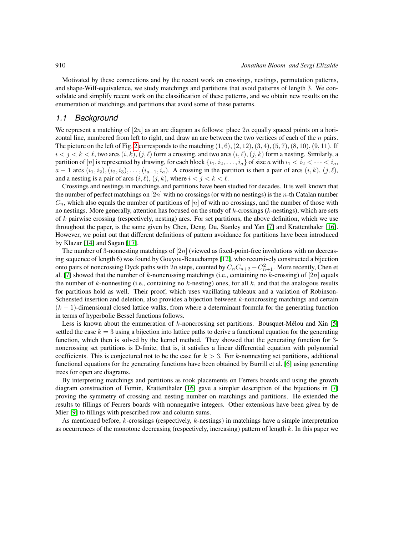Motivated by these connections and by the recent work on crossings, nestings, permutation patterns, and shape-Wilf-equivalence, we study matchings and partitions that avoid patterns of length 3. We consolidate and simplify recent work on the classification of these patterns, and we obtain new results on the enumeration of matchings and partitions that avoid some of these patterns.

### *1.1 Background*

We represent a matching of  $[2n]$  as an arc diagram as follows: place  $2n$  equally spaced points on a horizontal line, numbered from left to right, and draw an arc between the two vertices of each of the  $n$  pairs. The picture on the left of Fig. [2](#page-6-0) corresponds to the matching  $(1, 6)$ ,  $(2, 12)$ ,  $(3, 4)$ ,  $(5, 7)$ ,  $(8, 10)$ ,  $(9, 11)$ . If  $i < j < k < \ell$ , two arcs  $(i, k)$ ,  $(j, \ell)$  form a crossing, and two arcs  $(i, \ell)$ ,  $(j, k)$  form a nesting. Similarly, a partition of  $[n]$  is represented by drawing, for each block  $\{i_1, i_2, \ldots, i_a\}$  of size a with  $i_1 < i_2 < \cdots < i_a$ ,  $a - 1$  arcs  $(i_1, i_2), (i_2, i_3), \ldots, (i_{a-1}, i_a)$ . A crossing in the partition is then a pair of arcs  $(i, k), (j, \ell)$ , and a nesting is a pair of arcs  $(i, \ell), (j, k)$ , where  $i < j < k < \ell$ .

Crossings and nestings in matchings and partitions have been studied for decades. It is well known that the number of perfect matchings on  $[2n]$  with no crossings (or with no nestings) is the *n*-th Catalan number  $C_n$ , which also equals the number of partitions of  $[n]$  of with no crossings, and the number of those with no nestings. More generally, attention has focused on the study of  $k$ -crossings ( $k$ -nestings), which are sets of  $k$  pairwise crossing (respectively, nesting) arcs. For set partitions, the above definition, which we use throughout the paper, is the same given by Chen, Deng, Du, Stanley and Yan [\[7\]](#page-11-0) and Krattenthaler [\[16\]](#page-11-1). However, we point out that different definitions of pattern avoidance for partitions have been introduced by Klazar [\[14\]](#page-11-2) and Sagan [\[17\]](#page-11-3).

The number of 3-nonnesting matchings of  $[2n]$  (viewed as fixed-point-free involutions with no decreasing sequence of length 6) was found by Gouyou-Beauchamps [\[12\]](#page-11-4), who recursively constructed a bijection onto pairs of noncrossing Dyck paths with 2n steps, counted by  $C_nC_{n+2} - C_{n+1}^2$ . More recently, Chen et al. [\[7\]](#page-11-0) showed that the number of k-noncrossing matchings (i.e., containing no k-crossing) of [2n] equals the number of k-nonnesting (i.e., containing no k-nesting) ones, for all k, and that the analogous results for partitions hold as well. Their proof, which uses vacillating tableaux and a variation of Robinson-Schensted insertion and deletion, also provides a bijection between k-noncrossing matchings and certain  $(k-1)$ -dimensional closed lattice walks, from where a determinant formula for the generating function in terms of hyperbolic Bessel functions follows.

Less is known about the enumeration of  $k$ -noncrossing set partitions. Bousquet-Mélou and Xin [\[5\]](#page-11-5) settled the case  $k = 3$  using a bijection into lattice paths to derive a functional equation for the generating function, which then is solved by the kernel method. They showed that the generating function for 3 noncrossing set partitions is D-finite, that is, it satisfies a linear differential equation with polynomial coefficients. This is conjectured not to be the case for  $k > 3$ . For k-nonnesting set partitions, additional functional equations for the generating functions have been obtained by Burrill et al. [\[6\]](#page-11-6) using generating trees for open arc diagrams.

By interpreting matchings and partitions as rook placements on Ferrers boards and using the growth diagram construction of Fomin, Krattenthaler [\[16\]](#page-11-1) gave a simpler description of the bijections in [\[7\]](#page-11-0) proving the symmetry of crossing and nesting number on matchings and partitions. He extended the results to fillings of Ferrers boards with nonnegative integers. Other extensions have been given by de Mier [\[9\]](#page-11-7) to fillings with prescribed row and column sums.

As mentioned before, k-crossings (respectively, k-nestings) in matchings have a simple interpretation as occurrences of the monotone decreasing (respectively, increasing) pattern of length k. In this paper we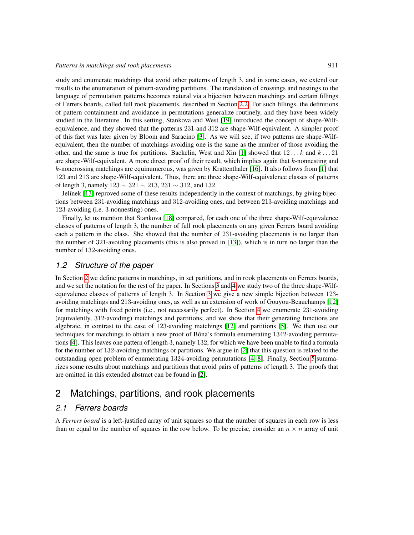study and enumerate matchings that avoid other patterns of length 3, and in some cases, we extend our results to the enumeration of pattern-avoiding partitions. The translation of crossings and nestings to the language of permutation patterns becomes natural via a bijection between matchings and certain fillings of Ferrers boards, called full rook placements, described in Section [2.2.](#page-4-0) For such fillings, the definitions of pattern containment and avoidance in permutations generalize routinely, and they have been widely studied in the literature. In this setting, Stankova and West [\[19\]](#page-11-8) introduced the concept of shape-Wilfequivalence, and they showed that the patterns 231 and 312 are shape-Wilf-equivalent. A simpler proof of this fact was later given by Bloom and Saracino [\[3\]](#page-11-9). As we will see, if two patterns are shape-Wilfequivalent, then the number of matchings avoiding one is the same as the number of those avoiding the other, and the same is true for partitions. Backelin, West and Xin [\[1\]](#page-10-0) showed that  $12...k$  and  $k...21$ are shape-Wilf-equivalent. A more direct proof of their result, which implies again that  $k$ -nonnesting and k-noncrossing matchings are equinumerous, was given by Krattenthaler [\[16\]](#page-11-1). It also follows from [\[1\]](#page-10-0) that 123 and 213 are shape-Wilf-equivalent. Thus, there are three shape-Wilf-equivalence classes of patterns of length 3, namely  $123 \sim 321 \sim 213$ ,  $231 \sim 312$ , and 132.

Jelínek [\[13\]](#page-11-10) reproved some of these results independently in the context of matchings, by giving bijections between 231-avoiding matchings and 312-avoiding ones, and between 213-avoiding matchings and 123-avoiding (i.e. 3-nonnesting) ones.

Finally, let us mention that Stankova [\[18\]](#page-11-11) compared, for each one of the three shape-Wilf-equivalence classes of patterns of length 3, the number of full rook placements on any given Ferrers board avoiding each a pattern in the class. She showed that the number of 231-avoiding placements is no larger than the number of 321-avoiding placements (this is also proved in [\[13\]](#page-11-10)), which is in turn no larger than the number of 132-avoiding ones.

#### *1.2 Structure of the paper*

In Section [2](#page-2-0) we define patterns in matchings, in set partitions, and in rook placements on Ferrers boards, and we set the notation for the rest of the paper. In Sections [3](#page-5-0) and [4](#page-6-1) we study two of the three shape-Wilfequivalence classes of patterns of length 3. In Section [3](#page-5-0) we give a new simple bijection between 123 avoiding matchings and 213-avoiding ones, as well as an extension of work of Gouyou-Beauchamps [\[12\]](#page-11-4) for matchings with fixed points (i.e., not necessarily perfect). In Section [4](#page-6-1) we enumerate 231-avoiding (equivalently, 312-avoiding) matchings and partitions, and we show that their generating functions are algebraic, in contrast to the case of 123-avoiding matchings [\[12\]](#page-11-4) and partitions [\[5\]](#page-11-5). We then use our techniques for matchings to obtain a new proof of Bóna's formula enumerating 1342-avoiding permutations [\[4\]](#page-11-12). This leaves one pattern of length 3, namely 132, for which we have been unable to find a formula for the number of 132-avoiding matchings or partitions. We argue in [\[2\]](#page-11-13) that this question is related to the outstanding open problem of enumerating 1324-avoiding permutations [\[4,](#page-11-12) [8\]](#page-11-14). Finally, Section [5](#page-10-1) summarizes some results about matchings and partitions that avoid pairs of patterns of length 3. The proofs that are omitted in this extended abstract can be found in [\[2\]](#page-11-13).

## <span id="page-2-0"></span>2 Matchings, partitions, and rook placements

### *2.1 Ferrers boards*

A *Ferrers board* is a left-justified array of unit squares so that the number of squares in each row is less than or equal to the number of squares in the row below. To be precise, consider an  $n \times n$  array of unit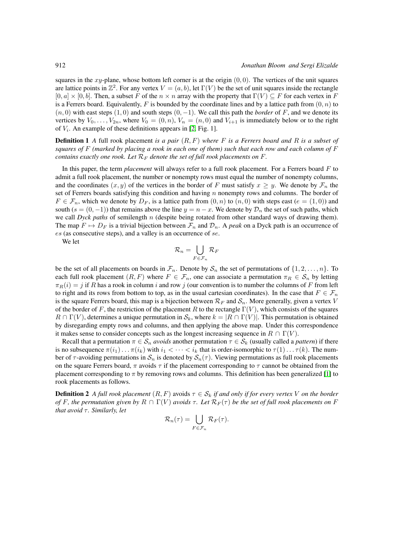squares in the xy-plane, whose bottom left corner is at the origin  $(0, 0)$ . The vertices of the unit squares are lattice points in  $\mathbb{Z}^2$ . For any vertex  $V = (a, b)$ , let  $\Gamma(V)$  be the set of unit squares inside the rectangle  $[0, a] \times [0, b]$ . Then, a subset F of the  $n \times n$  array with the property that  $\Gamma(V) \subseteq F$  for each vertex in F is a Ferrers board. Equivalently, F is bounded by the coordinate lines and by a lattice path from  $(0, n)$  to  $(n, 0)$  with east steps  $(1, 0)$  and south steps  $(0, -1)$ . We call this path the *border* of F, and we denote its vertices by  $V_0, \ldots, V_{2n}$ , where  $V_0 = (0, n)$ ,  $V_n = (n, 0)$  and  $V_{i+1}$  is immediately below or to the right of  $V_i$ . An example of these definitions appears in [\[2,](#page-11-13) Fig. 1].

Definition 1 *A* full rook placement *is a pair* (R, F) *where* F *is a Ferrers board and* R *is a subset of squares of* F *(marked by placing a rook in each one of them) such that each row and each column of* F *contains exactly one rook. Let*  $\mathcal{R}_F$  *denote the set of full rook placements on*  $F$ *.* 

In this paper, the term *placement* will always refer to a full rook placement. For a Ferrers board F to admit a full rook placement, the number or nonempty rows must equal the number of nonempty columns, and the coordinates  $(x, y)$  of the vertices in the border of F must satisfy  $x \geq y$ . We denote by  $\mathcal{F}_n$  the set of Ferrers boards satisfying this condition and having  $n$  nonempty rows and columns. The border of  $F \in \mathcal{F}_n$ , which we denote by  $D_F$ , is a lattice path from  $(0, n)$  to  $(n, 0)$  with steps east  $(e = (1, 0))$  and south (s =  $(0, -1)$ ) that remains above the line  $y = n - x$ . We denote by  $\mathcal{D}_n$  the set of such paths, which we call *Dyck paths* of semilength n (despite being rotated from other standard ways of drawing them). The map  $F \mapsto D_F$  is a trivial bijection between  $\mathcal{F}_n$  and  $\mathcal{D}_n$ . A *peak* on a Dyck path is an occurrence of es (as consecutive steps), and a valley is an occurrence of se.

We let

$$
\mathcal{R}_n=\bigcup_{F\in\mathcal{F}_n}\mathcal{R}_F
$$

be the set of all placements on boards in  $\mathcal{F}_n$ . Denote by  $\mathcal{S}_n$  the set of permutations of  $\{1, 2, \ldots, n\}$ . To each full rook placement  $(R, F)$  where  $F \in \mathcal{F}_n$ , one can associate a permutation  $\pi_R \in \mathcal{S}_n$  by letting  $\pi_R(i) = j$  if R has a rook in column i and row j (our convention is to number the columns of F from left to right and its rows from bottom to top, as in the usual cartesian coordinates). In the case that  $F \in \mathcal{F}_n$ is the square Ferrers board, this map is a bijection between  $\mathcal{R}_F$  and  $\mathcal{S}_n$ . More generally, given a vertex V of the border of F, the restriction of the placement R to the rectangle  $\Gamma(V)$ , which consists of the squares  $R \cap \Gamma(V)$ , determines a unique permutation in  $S_k$ , where  $k = |R \cap \Gamma(V)|$ . This permutation is obtained by disregarding empty rows and columns, and then applying the above map. Under this correspondence it makes sense to consider concepts such as the longest increasing sequence in  $R \cap \Gamma(V)$ .

Recall that a permutation  $\pi \in S_n$  *avoids* another permutation  $\tau \in S_k$  (usually called a *pattern*) if there is no subsequence  $\pi(i_1)\dots\pi(i_k)$  with  $i_1 < \dots < i_k$  that is order-isomorphic to  $\tau(1)\dots\tau(k)$ . The number of  $\tau$ -avoiding permutations in  $S_n$  is denoted by  $S_n(\tau)$ . Viewing permutations as full rook placements on the square Ferrers board,  $\pi$  avoids  $\tau$  if the placement corresponding to  $\tau$  cannot be obtained from the placement corresponding to  $\pi$  by removing rows and columns. This definition has been generalized [\[1\]](#page-10-0) to rook placements as follows.

**Definition 2** *A full rook placement*  $(R, F)$  avoids  $\tau \in S_k$  *if and only if for every vertex* V *on the border of* F, the permutation given by  $R \cap \Gamma(V)$  *avoids*  $\tau$ . Let  $\mathcal{R}_F(\tau)$  be the set of full rook placements on F *that avoid*  $τ$ *. Similarly, let* 

$$
\mathcal{R}_n(\tau) = \bigcup_{F \in \mathcal{F}_n} \mathcal{R}_F(\tau).
$$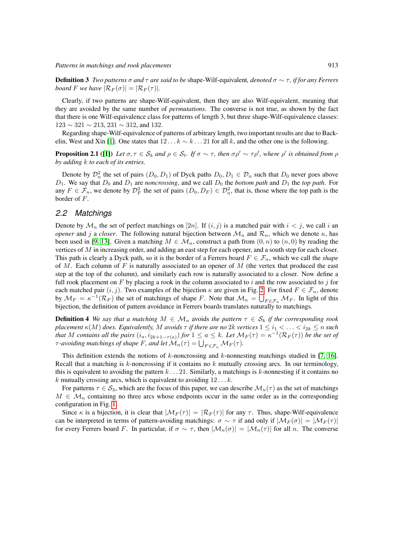Definition 3 *Two patterns* σ *and* τ *are said to be* shape-Wilf-equivalent*, denoted* σ ∼ τ *, if for any Ferrers board F we have*  $|\mathcal{R}_F(\sigma)| = |\mathcal{R}_F(\tau)|$ *.* 

Clearly, if two patterns are shape-Wilf-equivalent, then they are also Wilf-equivalent, meaning that they are avoided by the same number of *permutations*. The converse is not true, as shown by the fact that there is one Wilf-equivalence class for patterns of length 3, but three shape-Wilf-equivalence classes:  $123 \sim 321 \sim 213$ ,  $231 \sim 312$ , and 132.

Regarding shape-Wilf-equivalence of patterns of arbitrary length, two important results are due to Back-elin, West and Xin [\[1\]](#page-10-0). One states that  $12 \dots k \sim k \dots 21$  for all k, and the other one is the following.

**Proposition 2.1** ([\[1\]](#page-10-0)) Let  $\sigma, \tau \in S_k$  and  $\rho \in S_\ell$ . If  $\sigma \sim \tau$ , then  $\sigma \rho' \sim \tau \rho'$ , where  $\rho'$  is obtained from  $\rho$ *by adding* k *to each of its entries.*

Denote by  $\mathcal{D}_n^2$  the set of pairs  $(D_0, D_1)$  of Dyck paths  $D_0, D_1 \in \mathcal{D}_n$  such that  $D_0$  never goes above  $D_1$ . We say that  $D_0$  and  $D_1$  are *noncrossing*, and we call  $D_0$  the *bottom path* and  $D_1$  the *top path*. For any  $F \in \mathcal{F}_n$ , we denote by  $\mathcal{D}_F^2$  the set of pairs  $(D_0, D_F) \in \mathcal{D}_n^2$ , that is, those where the top path is the border of F.

#### <span id="page-4-0"></span>*2.2 Matchings*

Denote by  $\mathcal{M}_n$  the set of perfect matchings on [2n]. If  $(i, j)$  is a matched pair with  $i < j$ , we call i an *opener* and j a *closer*. The following natural bijection between  $\mathcal{M}_n$  and  $\mathcal{R}_n$ , which we denote  $\kappa$ , has been used in [\[9,](#page-11-7) [13\]](#page-11-10). Given a matching  $M \in \mathcal{M}_n$ , construct a path from  $(0, n)$  to  $(n, 0)$  by reading the vertices of M in increasing order, and adding an east step for each opener, and a south step for each closer. This path is clearly a Dyck path, so it is the border of a Ferrers board  $F \in \mathcal{F}_n$ , which we call the *shape* of M. Each column of F is naturally associated to an opener of M (the vertex that produced the east step at the top of the column), and similarly each row is naturally associated to a closer. Now define a full rook placement on F by placing a rook in the column associated to i and the row associated to j for each matched pair  $(i, j)$ . Two examples of the bijection  $\kappa$  are given in Fig. [2.](#page-6-0) For fixed  $F \in \mathcal{F}_n$ , denote by  $\mathcal{M}_F = \kappa^{-1}(\mathcal{R}_F)$  the set of matchings of shape F. Note that  $\mathcal{M}_n = \bigcup_{F \in \mathcal{F}_n} \mathcal{M}_F$ . In light of this bijection, the definition of pattern avoidance in Ferrers boards translates naturally to matchings.

**Definition 4** We say that a matching  $M \in \mathcal{M}_n$  avoids the pattern  $\tau \in \mathcal{S}_k$  if the corresponding rook *placement*  $\kappa(M)$  *does. Equivalently,* M *avoids*  $\tau$  *if there are no* 2k *vertices*  $1 \leq i_1 < \ldots < i_{2k} \leq n$  *such that* M contains all the pairs  $(i_a, i_{2k+1-\tau(a)})$  for  $1 \le a \le k$ . Let  $\mathcal{M}_F(\tau) = \kappa^{-1}(\mathcal{R}_F(\tau))$  be the set of  $\tau$ -avoiding matchings of shape F, and let  $\mathcal{M}_n(\tau) = \bigcup_{F \in \mathcal{F}_n} \mathcal{M}_F(\tau)$ .

This definition extends the notions of  $k$ -noncrossing and  $k$ -nonnesting matchings studied in [\[7,](#page-11-0) [16\]](#page-11-1). Recall that a matching is  $k$ -noncrossing if it contains no  $k$  mutually crossing arcs. In our terminology, this is equivalent to avoiding the pattern  $k \dots 21$ . Similarly, a matchings is k-nonnesting if it contains no k mutually crossing arcs, which is equivalent to avoiding  $12 \ldots k$ .

For patterns  $\tau \in S_3$ , which are the focus of this paper, we can describe  $\mathcal{M}_n(\tau)$  as the set of matchings  $M \in \mathcal{M}_n$  containing no three arcs whose endpoints occur in the same order as in the corresponding configuration in Fig. [1.](#page-5-1)

Since  $\kappa$  is a bijection, it is clear that  $|\mathcal{M}_F(\tau)| = |\mathcal{R}_F(\tau)|$  for any  $\tau$ . Thus, shape-Wilf-equivalence can be interpreted in terms of pattern-avoiding matchings:  $\sigma \sim \tau$  if and only if  $|\mathcal{M}_F(\sigma)| = |\mathcal{M}_F(\tau)|$ for every Ferrers board F. In particular, if  $\sigma \sim \tau$ , then  $|M_n(\sigma)| = |M_n(\tau)|$  for all n. The converse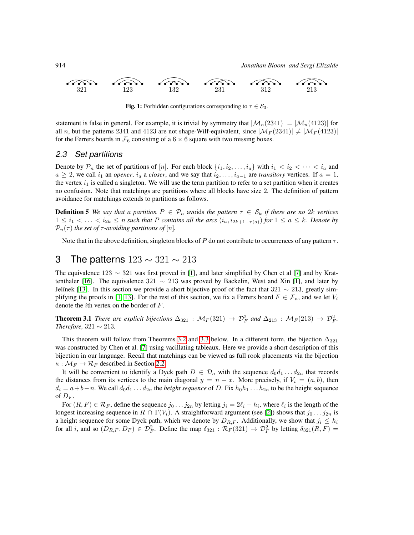

<span id="page-5-1"></span>**Fig. 1:** Forbidden configurations corresponding to  $\tau \in S_3$ .

statement is false in general. For example, it is trivial by symmetry that  $|\mathcal{M}_n(2341)| = |\mathcal{M}_n(4123)|$  for all n, but the patterns 2341 and 4123 are not shape-Wilf-equivalent, since  $|\mathcal{M}_F(2341)| \neq |\mathcal{M}_F(4123)|$ for the Ferrers boards in  $\mathcal{F}_6$  consisting of a 6  $\times$  6 square with two missing boxes.

#### *2.3 Set partitions*

Denote by  $\mathcal{P}_n$  the set of partitions of [n]. For each block  $\{i_1, i_2, \ldots, i_a\}$  with  $i_1 < i_2 < \cdots < i_a$  and  $a \geq 2$ , we call  $i_1$  an *opener*,  $i_a$  a *closer*, and we say that  $i_2, \ldots, i_{a-1}$  are *transitory* vertices. If  $a = 1$ , the vertex  $i_1$  is called a singleton. We will use the term partition to refer to a set partition when it creates no confusion. Note that matchings are partitions where all blocks have size 2. The definition of pattern avoidance for matchings extends to partitions as follows.

**Definition 5** We say that a partition  $P \in \mathcal{P}_n$  avoids the pattern  $\tau \in \mathcal{S}_k$  if there are no 2k vertices 1 ≤ i<sup>1</sup> < . . . < i2<sup>k</sup> ≤ n *such that* P *contains all the arcs* (ia, i2k+1−τ(a)) *for* 1 ≤ a ≤ k*. Denote by*  $\mathcal{P}_n(\tau)$  *the set of*  $\tau$ *-avoiding partitions of* [n].

Note that in the above definition, singleton blocks of  $P$  do not contribute to occurrences of any pattern  $\tau$ .

### <span id="page-5-0"></span>3 The patterns  $123 \sim 321 \sim 213$

The equivalence 123 ∼ 321 was first proved in [\[1\]](#page-10-0), and later simplified by Chen et al [\[7\]](#page-11-0) and by Krat-tenthaler [\[16\]](#page-11-1). The equivalence 321  $\sim$  213 was proved by Backelin, West and Xin [\[1\]](#page-10-0), and later by Jelínek [\[13\]](#page-11-10). In this section we provide a short bijective proof of the fact that  $321 \sim 213$ , greatly sim-plifying the proofs in [\[1,](#page-10-0) [13\]](#page-11-10). For the rest of this section, we fix a Ferrers board  $F \in \mathcal{F}_n$ , and we let  $V_i$ denote the ith vertex on the border of F.

<span id="page-5-2"></span>**Theorem 3.1** *There are explicit bijections*  $\Delta_{321}$  :  $\mathcal{M}_F(321) \to \mathcal{D}_F^2$  *and*  $\Delta_{213}$  :  $\mathcal{M}_F(213) \to \mathcal{D}_F^2$ *. Therefore,*  $321 \sim 213$ *.* 

This theorem will follow from Theorems [3.2](#page-6-2) and [3.3](#page-6-3) below. In a different form, the bijection  $\Delta_{321}$ was constructed by Chen et al. [\[7\]](#page-11-0) using vacillating tableaux. Here we provide a short description of this bijection in our language. Recall that matchings can be viewed as full rook placements via the bijection  $\kappa : \mathcal{M}_F \to \mathcal{R}_F$  described in Section [2.2.](#page-4-0)

It will be convenient to identify a Dyck path  $D \in \mathcal{D}_n$  with the sequence  $d_0d_1 \ldots d_{2n}$  that records the distances from its vertices to the main diagonal  $y = n - x$ . More precisely, if  $V_i = (a, b)$ , then  $d_i = a + b - n$ . We call  $d_0d_1 \ldots d_{2n}$  the *height sequence* of D. Fix  $h_0h_1 \ldots h_{2n}$  to be the height sequence of  $D_F$ .

For  $(R, F) \in \mathcal{R}_F$ , define the sequence  $j_0 \dots j_{2n}$  by letting  $j_i = 2\ell_i - h_i$ , where  $\ell_i$  is the length of the longest increasing sequence in  $R \cap \Gamma(V_i)$ . A straightforward argument (see [\[2\]](#page-11-13)) shows that  $j_0 \dots j_{2n}$  is a height sequence for some Dyck path, which we denote by  $D_{R,F}$ . Additionally, we show that  $j_i \leq h_i$ for all *i*, and so  $(D_{R,F}, D_F) \in \mathcal{D}_F^2$ . Define the map  $\delta_{321} : \mathcal{R}_F(321) \to \mathcal{D}_F^2$  by letting  $\delta_{321}(R, F) =$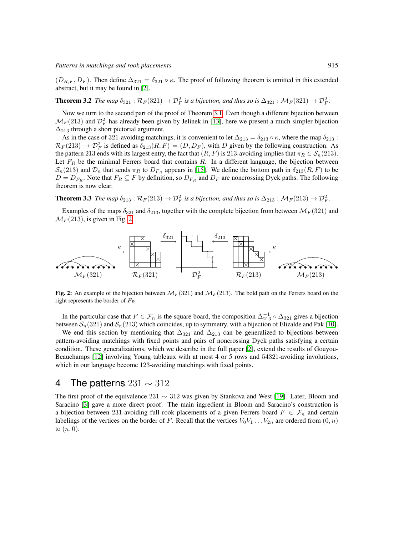$(D_{R,F}, D_F)$ . Then define  $\Delta_{321} = \delta_{321} \circ \kappa$ . The proof of following theorem is omitted in this extended abstract, but it may be found in [\[2\]](#page-11-13).

<span id="page-6-2"></span>**Theorem 3.2** *The map*  $\delta_{321}$  :  $\mathcal{R}_F(321) \to \mathcal{D}_F^2$  *is a bijection, and thus so is*  $\Delta_{321}$  :  $\mathcal{M}_F(321) \to \mathcal{D}_F^2$ *.* 

Now we turn to the second part of the proof of Theorem [3.1.](#page-5-2) Even though a different bijection between  $\mathcal{M}_F(213)$  and  $\mathcal{D}_F^2$  has already been given by Jelínek in [\[13\]](#page-11-10), here we present a much simpler bijection  $\Delta_{213}$  through a short pictorial argument.

As in the case of 321-avoiding matchings, it is convenient to let  $\Delta_{213} = \delta_{213} \circ \kappa$ , where the map  $\delta_{213}$ :  $\mathcal{R}_F(213) \to \mathcal{D}_F^2$  is defined as  $\delta_{213}(R, F) = (D, D_F)$ , with D given by the following construction. As the pattern 213 ends with its largest entry, the fact that  $(R, F)$  is 213-avoiding implies that  $\pi_R \in S_n(213)$ . Let  $F_R$  be the minimal Ferrers board that contains R. In a different language, the bijection between  $S_n(213)$  and  $\mathcal{D}_n$  that sends  $\pi_R$  to  $D_{F_R}$  appears in [\[15\]](#page-11-15). We define the bottom path in  $\delta_{213}(R, F)$  to be  $D = D_{F_R}$ . Note that  $F_R \subseteq F$  by definition, so  $D_{F_R}$  and  $D_F$  are noncrossing Dyck paths. The following theorem is now clear.

<span id="page-6-3"></span>**Theorem 3.3** *The map*  $\delta_{213}$  :  $\mathcal{R}_F(213) \to \mathcal{D}_F^2$  *is a bijection, and thus so is*  $\Delta_{213}$  :  $\mathcal{M}_F(213) \to \mathcal{D}_F^2$ *.* 

Examples of the maps  $\delta_{321}$  and  $\delta_{213}$ , together with the complete bijection from between  $\mathcal{M}_F(321)$  and  $\mathcal{M}_F(213)$ , is given in Fig. [2.](#page-6-0)



<span id="page-6-0"></span>Fig. 2: An example of the bijection between  $\mathcal{M}_F(321)$  and  $\mathcal{M}_F(213)$ . The bold path on the Ferrers board on the right represents the border of  $F_R$ .

In the particular case that  $F \in \mathcal{F}_n$  is the square board, the composition  $\Delta_{213}^{-1} \circ \Delta_{321}$  gives a bijection between  $S_n(321)$  and  $S_n(213)$  which coincides, up to symmetry, with a bijection of Elizalde and Pak [\[10\]](#page-11-16).

We end this section by mentioning that  $\Delta_{321}$  and  $\Delta_{213}$  can be generalized to bijections between pattern-avoiding matchings with fixed points and pairs of noncrossing Dyck paths satisfying a certain condition. These generalizations, which we describe in the full paper [\[2\]](#page-11-13), extend the results of Gouyou-Beauchamps [\[12\]](#page-11-4) involving Young tableaux with at most 4 or 5 rows and 54321-avoiding involutions, which in our language become 123-avoiding matchings with fixed points.

### <span id="page-6-1"></span>4 The patterns  $231 \sim 312$

The first proof of the equivalence 231  $\sim$  312 was given by Stankova and West [\[19\]](#page-11-8). Later, Bloom and Saracino [\[3\]](#page-11-9) gave a more direct proof. The main ingredient in Bloom and Saracino's construction is a bijection between 231-avoiding full rook placements of a given Ferrers board  $F \in \mathcal{F}_n$  and certain labelings of the vertices on the border of F. Recall that the vertices  $V_0V_1 \ldots V_{2n}$  are ordered from  $(0, n)$ to  $(n, 0)$ .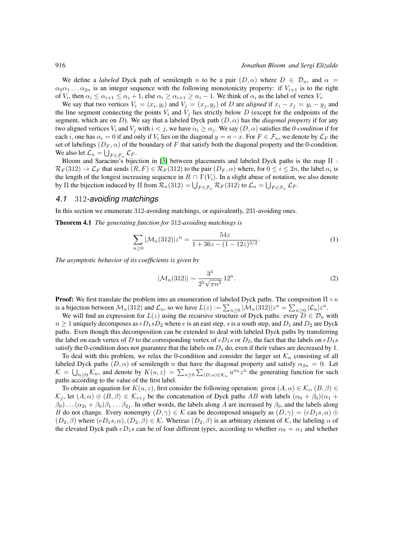We define a *labeled* Dyck path of semilength n to be a pair  $(D, \alpha)$  where  $D \in \mathcal{D}_n$ , and  $\alpha =$  $\alpha_0\alpha_1 \dots \alpha_{2n}$  is an integer sequence with the following monotonicity property: if  $V_{i+1}$  is to the right of  $V_i$ , then  $\alpha_i \leq \alpha_{i+1} \leq \alpha_i + 1$ , else  $\alpha_i \geq \alpha_{i+1} \geq \alpha_i - 1$ . We think of  $\alpha_i$  as the label of vertex  $V_i$ .

We say that two vertices  $V_i = (x_i, y_i)$  and  $V_j = (x_j, y_j)$  of D are *aligned* if  $x_i - x_j = y_i - y_j$  and the line segment connecting the points  $V_i$  and  $V_j$  lies strictly below D (except for the endpoints of the segment, which are on D). We say that a labeled Dyck path  $(D, \alpha)$  has the *diagonal property* if for any two aligned vertices  $V_i$  and  $V_j$  with  $i < j$ , we have  $\alpha_i \geq \alpha_j$ . We say  $(D, \alpha)$  satisfies the *0-condition* if for each *i*, one has  $\alpha_i = 0$  if and only if  $V_i$  lies on the diagonal  $y = n - x$ . For  $F \in \mathcal{F}_n$ , we denote by  $\mathcal{L}_F$  the set of labelings  $(D_F, \alpha)$  of the boundary of F that satisfy both the diagonal property and the 0-condition. We also let  $\mathcal{L}_n = \bigcup_{F \in \mathcal{F}_n} \mathcal{L}_F$ .

Bloom and Saracino's bijection in [\[3\]](#page-11-9) between placements and labeled Dyck paths is the map Π :  $\mathcal{R}_F(312) \to \mathcal{L}_F$  that sends  $(R, F) \in \mathcal{R}_F(312)$  to the pair  $(D_F, \alpha)$  where, for  $0 \le i \le 2n$ , the label  $\alpha_i$  is the length of the longest increasing sequence in  $R \cap \Gamma(V_i)$ . In a slight abuse of notation, we also denote by  $\Pi$  the bijection induced by  $\Pi$  from  $\mathcal{R}_n(312) = \bigcup_{F \in \mathcal{F}_n} \mathcal{R}_F(312)$  to  $\mathcal{L}_n = \bigcup_{F \in \mathcal{F}_n} \mathcal{L}_F$ .

#### <span id="page-7-3"></span>*4.1* 312*-avoiding matchings*

In this section we enumerate 312-avoiding matchings, or equivalently, 231-avoiding ones.

<span id="page-7-2"></span>Theorem 4.1 *The generating function for* 312*-avoiding matchings is*

$$
\sum_{n\geq 0} |\mathcal{M}_n(312)| z^n = \frac{54z}{1 + 36z - (1 - 12z)^{3/2}}.
$$
 (1)

*The asymptotic behavior of its coefficients is given by*

<span id="page-7-1"></span><span id="page-7-0"></span>
$$
|\mathcal{M}_n(312)| \sim \frac{3^3}{2^5 \sqrt{\pi n^5}} 12^n. \tag{2}
$$

**Proof:** We first translate the problem into an enumeration of labeled Dyck paths. The composition  $\Pi \circ \kappa$ is a bijection between  $\mathcal{M}_n(312)$  and  $\mathcal{L}_n$ , so we have  $L(z) := \sum_{n \geq 0} |\mathcal{M}_n(312)| z^n = \sum_{n \geq 0} |\mathcal{L}_n| z^n$ .

We will find an expression for  $L(z)$  using the recursive structure of Dyck paths: every  $D \in \mathcal{D}_n$  with  $n \geq 1$  uniquely decomposes as  $eD_1sD_2$  where e is an east step, s is a south step, and  $D_1$  and  $D_2$  are Dyck paths. Even though this decomposition can be extended to deal with labeled Dyck paths by transferring the label on each vertex of D to the corresponding vertex of  $eD_1s$  or  $D_2$ , the fact that the labels on  $eD_1s$ satisfy the 0-condition does not guarantee that the labels on  $D_1$  do, even if their values are decreased by 1.

To deal with this problem, we relax the 0-condition and consider the larger set  $\mathcal{K}_n$  consisting of all labeled Dyck paths  $(D, \alpha)$  of semilength n that have the diagonal property and satisfy  $\alpha_{2n} = 0$ . Let  $\mathcal{K} = \bigcup_{n \geq 0} \mathcal{K}_n$ , and denote by  $K(u, z) = \sum_{n \geq 0} \sum_{i \in \mathcal{K}_n} u^{\alpha_0} z^n$  the generating function for such paths according to the value of the first label.

To obtain an equation for  $K(u, z)$ , first consider the following operation: given  $(A, \alpha) \in \mathcal{K}_i$ ,  $(B, \beta) \in$  $\mathcal{K}_j$ , let  $(A, \alpha) \oplus (B, \beta) \in \mathcal{K}_{i+j}$  be the concatenation of Dyck paths AB with labels  $(\alpha_0 + \beta_0)(\alpha_1 + \beta_2)$  $(\beta_0) \dots (\alpha_{2i} + \beta_0)\beta_1 \dots \beta_{2j}$ . In other words, the labels along A are increased by  $\beta_0$ , and the labels along B do not change. Every nonempty  $(D, \gamma) \in \mathcal{K}$  can be decomposed uniquely as  $(D, \gamma) = (eD_1s, \alpha) \oplus$  $(D_2, \beta)$  where  $(eD_1s, \alpha), (D_2, \beta) \in \mathcal{K}$ . Whereas  $(D_2, \beta)$  is an arbitrary element of K, the labeling  $\alpha$  of the elevated Dyck path  $eD_1s$  can be of four different types, according to whether  $\alpha_0 = \alpha_1$  and whether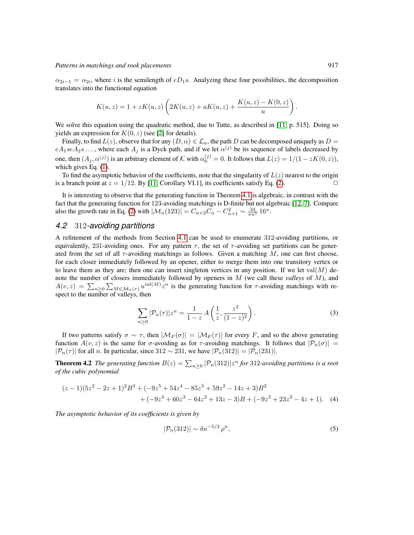$\alpha_{2i-1} = \alpha_{2i}$ , where i is the semilength of eD<sub>1</sub>s. Analyzing these four possibilities, the decomposition translates into the functional equation

$$
K(u, z) = 1 + zK(u, z)\left(2K(u, z) + uK(u, z) + \frac{K(u, z) - K(0, z)}{u}\right).
$$

We solve this equation using the quadratic method, due to Tutte, as described in [\[11,](#page-11-17) p. 515]. Doing so yields an expression for  $K(0, z)$  (see [\[2\]](#page-11-13) for details).

Finally, to find  $L(z)$ , observe that for any  $(D, \alpha) \in \mathcal{L}_n$ , the path D can be decomposed uniquely as  $D =$  $eA_1seA_2s...$ , where each  $A_j$  is a Dyck path, and if we let  $\alpha^{(j)}$  be its sequence of labels decreased by one, then  $(A_j, \alpha^{(j)})$  is an arbitrary element of K with  $\alpha_0^{(j)} = 0$ . It follows that  $L(z) = 1/(1 - zK(0, z))$ , which gives Eq. [\(1\)](#page-7-0).

To find the asymptotic behavior of the coefficients, note that the singularity of  $L(z)$  nearest to the origin is a branch point at  $z = 1/12$ . By [\[11,](#page-11-17) Corollary VI.1], its coefficients satisfy Eq. [\(2\)](#page-7-1).

It is interesting to observe that the generating function in Theorem [4.1](#page-7-2) is algebraic, in contrast with the fact that the generating function for 123-avoiding matchings is D-finite but not algebraic [\[12,](#page-11-4) [7\]](#page-11-0). Compare also the growth rate in Eq. [\(2\)](#page-7-1) with  $|\mathcal{M}_n(123)| = C_{n+2}C_n - C_{n+1}^2 \sim \frac{24}{\pi n^5} 16^n$ .

### *4.2* 312*-avoiding partitions*

A refinement of the methods from Section [4.1](#page-7-3) can be used to enumerate 312-avoiding partitions, or equivalently, 231-avoiding ones. For any pattern  $\tau$ , the set of  $\tau$ -avoiding set partitions can be generated from the set of all  $\tau$ -avoiding matchings as follows. Given a matching M, one can first choose, for each closer immediately followed by an opener, either to merge them into one transitory vertex or to leave them as they are; then one can insert singleton vertices in any position. If we let val $(M)$  denote the number of closers immediately followed by openers in M (we call these *valleys* of M), and  $A(v, z) = \sum_{n \geq 0} \sum_{M \in \mathcal{M}_n(\tau)} u^{\text{val}(M)} z^n$  is the generating function for  $\tau$ -avoiding matchings with respect to the number of valleys, then

<span id="page-8-0"></span>
$$
\sum_{n\geq 0} |\mathcal{P}_n(\tau)| z^n = \frac{1}{1-z} A\left(\frac{1}{z}, \frac{z^2}{(1-z)^2}\right).
$$
 (3)

If two patterns satisfy  $\sigma \sim \tau$ , then  $|\mathcal{M}_F(\sigma)| = |\mathcal{M}_F(\tau)|$  for every F, and so the above generating function  $A(v, z)$  is the same for  $\sigma$ -avoiding as for  $\tau$ -avoiding matchings. It follows that  $|\mathcal{P}_n(\sigma)| =$  $|\mathcal{P}_n(\tau)|$  for all *n*. In particular, since 312 ~ 231, we have  $|\mathcal{P}_n(312)| = |\mathcal{P}_n(231)|$ .

<span id="page-8-2"></span>**Theorem 4.2** The generating function  $B(z) = \sum_{n\geq 0} |\mathcal{P}_n(312)|z^n$  for 312-avoiding partitions is a root *of the cubic polynomial*

$$
(z-1)(5z2-2z+1)2B3+(-9z5+54z4-85z3+59z2-14z+3)B2+(-9z4+60z3-64z2+13z-3)B+(-9z3+23z2-4z+1).
$$
 (4)

*The asymptotic behavior of its coefficients is given by*

<span id="page-8-3"></span><span id="page-8-1"></span>
$$
|\mathcal{P}_n(312)| \sim \delta n^{-5/2} \rho^n,\tag{5}
$$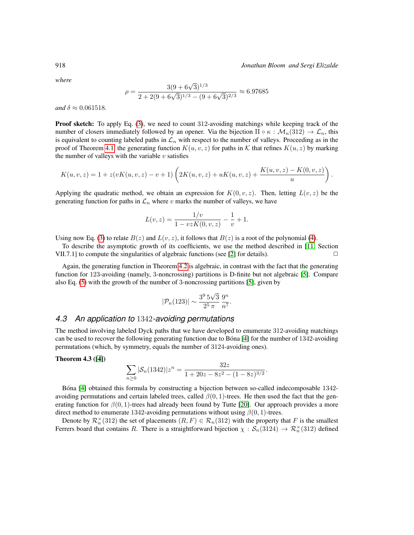918 *Jonathan Bloom and Sergi Elizalde*

*where*

$$
\rho = \frac{3(9 + 6\sqrt{3})^{1/3}}{2 + 2(9 + 6\sqrt{3})^{1/3} - (9 + 6\sqrt{3})^{2/3}} \approx 6.97685
$$

*and*  $\delta \approx 0.061518$ *.* 

**Proof sketch:** To apply Eq. [\(3\)](#page-8-0), we need to count 312-avoiding matchings while keeping track of the number of closers immediately followed by an opener. Via the bijection  $\Pi \circ \kappa : \mathcal{M}_n(312) \to \mathcal{L}_n$ , this is equivalent to counting labeled paths in  $\mathcal{L}_n$  with respect to the number of valleys. Proceeding as in the proof of Theorem [4.1,](#page-7-2) the generating function  $K(u, v, z)$  for paths in K that refines  $K(u, z)$  by marking the number of valleys with the variable  $v$  satisfies

$$
K(u, v, z) = 1 + z(vK(u, v, z) - v + 1)\left(2K(u, v, z) + uK(u, v, z) + \frac{K(u, v, z) - K(0, v, z)}{u}\right).
$$

Applying the quadratic method, we obtain an expression for  $K(0, v, z)$ . Then, letting  $L(v, z)$  be the generating function for paths in  $\mathcal{L}_n$  where v marks the number of valleys, we have

$$
L(v, z) = \frac{1/v}{1 - vzK(0, v, z)} - \frac{1}{v} + 1.
$$

Using now Eq. [\(3\)](#page-8-0) to relate  $B(z)$  and  $L(v, z)$ , it follows that  $B(z)$  is a root of the polynomial [\(4\)](#page-8-1).

To describe the asymptotic growth of its coefficients, we use the method described in [\[11,](#page-11-17) Section VII.7.1] to compute the singularities of algebraic functions (see [\[2\]](#page-11-13) for details).  $\Box$ 

Again, the generating function in Theorem [4.2](#page-8-2) is algebraic, in contrast with the fact that the generating function for 123-avoiding (namely, 3-noncrossing) partitions is D-finite but not algebraic [\[5\]](#page-11-5). Compare also Eq. [\(5\)](#page-8-3) with the growth of the number of 3-noncrossing partitions [\[5\]](#page-11-5), given by

$$
|\mathcal{P}_n(123)| \sim \frac{3^9 5\sqrt{3}}{2^5 \pi} \frac{9^n}{n^7}.
$$

#### *4.3 An application to* 1342*-avoiding permutations*

The method involving labeled Dyck paths that we have developed to enumerate 312-avoiding matchings can be used to recover the following generating function due to Bóna  $[4]$  for the number of 1342-avoiding permutations (which, by symmetry, equals the number of 3124-avoiding ones).

#### Theorem 4.3 ([\[4\]](#page-11-12))

$$
\sum_{n\geq 0} |\mathcal{S}_n(1342)| z^n = \frac{32z}{1 + 20z - 8z^2 - (1 - 8z)^{3/2}}.
$$

Bona [\[4\]](#page-11-12) obtained this formula by constructing a bijection between so-called indecomposable 1342avoiding permutations and certain labeled trees, called  $\beta(0, 1)$ -trees. He then used the fact that the generating function for  $\beta(0, 1)$ -trees had already been found by Tutte [\[20\]](#page-11-18). Our approach provides a more direct method to enumerate 1342-avoiding permutations without using  $\beta(0, 1)$ -trees.

Denote by  $\mathcal{R}_n^{\times}(312)$  the set of placements  $(R, F) \in \mathcal{R}_n(312)$  with the property that F is the smallest Ferrers board that contains R. There is a straightforward bijection  $\chi: \mathcal{S}_n(3124) \to \mathcal{R}_n^{\times}(312)$  defined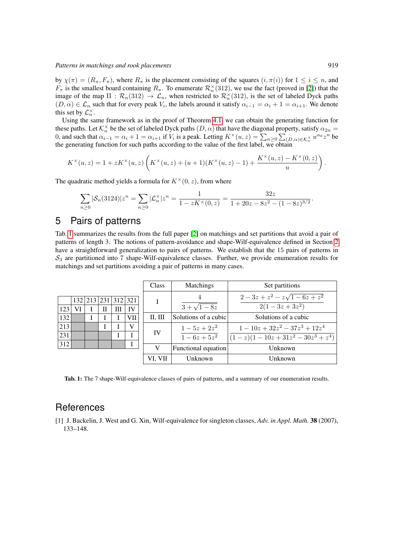by  $\chi(\pi) = (R_\pi, F_\pi)$ , where  $R_\pi$  is the placement consisting of the squares  $(i, \pi(i))$  for  $1 \le i \le n$ , and  $F_{\pi}$  is the smallest board containing  $R_{\pi}$ . To enumerate  $\mathcal{R}_n^{\times}(312)$ , we use the fact (proved in [\[2\]](#page-11-13)) that the image of the map  $\Pi : \mathcal{R}_n(312) \to \mathcal{L}_n$ , when restricted to  $\mathcal{R}_n^{\times}(312)$ , is the set of labeled Dyck paths  $(D, \alpha) \in \mathcal{L}_n$  such that for every peak  $V_i$ , the labels around it satisfy  $\alpha_{i-1} = \alpha_i + 1 = \alpha_{i+1}$ . We denote this set by  $\mathcal{L}_n^{\times}$ .

Using the same framework as in the proof of Theorem [4.1,](#page-7-2) we can obtain the generating function for these paths. Let  $\mathcal{K}_n^{\times}$  be the set of labeled Dyck paths  $(D, \alpha)$  that have the diagonal property, satisfy  $\alpha_{2n} =$ 0, and such that  $\alpha_{i-1} = \alpha_i + 1 = \alpha_{i+1}$  if  $V_i$  is a peak. Letting  $K^\times(u, z) = \sum_{n \geq 0} \sum_{i=0}^{\infty} \sum_{j \in \mathcal{K}_n^{\times}} u^{\alpha_0} z^n$  be the generating function for such paths according to the value of the first label, we obtain

$$
K^{\times}(u, z) = 1 + zK^{\times}(u, z)\left(K^{\times}(u, z) + (u + 1)(K^{\times}(u, z) - 1) + \frac{K^{\times}(u, z) - K^{\times}(0, z)}{u}\right)
$$

The quadratic method yields a formula for  $K^{\times}(0, z)$ , from where

$$
\sum_{n\geq 0}|\mathcal{S}_n(3124)|z^n=\sum_{n\geq 0}|\mathcal{L}_n^\times|z^n=\frac{1}{1-zK^\times(0,z)}=\frac{32z}{1+20z-8z^2-(1-8z)^{3/2}}
$$

# <span id="page-10-1"></span>5 Pairs of patterns

Tab. [1](#page-10-2) summarizes the results from the full paper [\[2\]](#page-11-13) on matchings and set partitions that avoid a pair of patterns of length 3. The notions of pattern-avoidance and shape-Wilf-equivalence defined in Section [2](#page-2-0) have a straightforward generalization to pairs of patterns. We establish that the 15 pairs of patterns in  $S_3$  are partitioned into 7 shape-Wilf-equivalence classes. Further, we provide enumeration results for matchings and set partitions avoiding a pair of patterns in many cases.

|    |   |   |                     | Class   | <b>Matchings</b>     | Set partitions                 |
|----|---|---|---------------------|---------|----------------------|--------------------------------|
|    |   |   | 132 213 231 312 321 |         |                      | $2-3z+z^2-z\sqrt{1-6z+z^2}$    |
| VI | П | Ш | IV                  |         | $3 + \sqrt{1 - 8z}$  | $2(1-3z+3z^2)$                 |
|    |   |   | VII.                | П, Ш    | Solutions of a cubic | Solutions of a cubic           |
|    |   |   | v                   | IV      | $1-5z+2z^2$          | $1-10z+32z^2-37z^3+12z^4$      |
|    |   |   |                     |         | $\sqrt{1-6z+5z^2}$   | $(1-z)(1-10z+31z^2-30z^3+z^4)$ |
|    |   |   |                     | v       | Functional equation  | Unknown                        |
|    |   |   |                     | VI. VII | Unknown              | Unknown                        |

<span id="page-10-2"></span>Tab. 1: The 7 shape-Wilf-equivalence classes of pairs of patterns, and a summary of our enumeration results.

### **References**

123  $\frac{1}{132}$  $\overline{213}$ 231 312

<span id="page-10-0"></span>[1] J. Backelin, J. West and G. Xin, Wilf-equivalence for singleton classes, *Adv. in Appl. Math.* 38 (2007), 133–148.

.

.